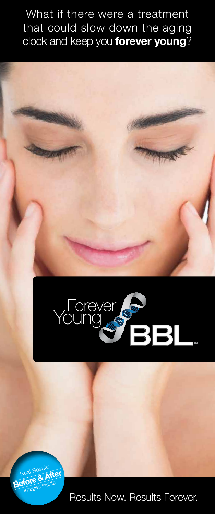What if there were a treatment that could slow down the aging clock and keep you **forever young**?







Results Now. Results Forever.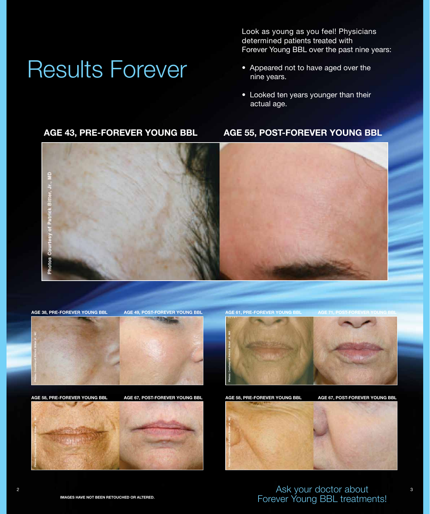## Results Forever

Look as young as you feel! Physicians determined patients treated with Forever Young BBL over the past nine years:

- Appeared not to have aged over the nine years.
- Looked ten years younger than their actual age.

#### **Age 43, pre-Forever Young BBL age 55, Post-Forever Young BBL**



#### **Age 38, pre-Forever Young BBL age 49, post-Forever Young BBL age 61, pre-Forever Young BBL AGE 71, post-Forever Young BBL**







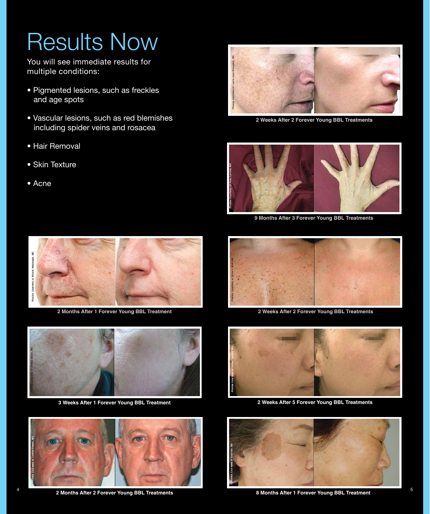# Results Now

You will see immediate results for multiple conditions:

- Pigmented lesions, such as freckles and age spots
- Vascular lesions, such as red blemishes including spider veins and rosacea
- Hair Removal
- Skin Texture
- Acne



**2 Weeks After 2 Forever Young BBL Treatments**



**9 Months After 3 Forever Young BBL Treatments**



**2 Months After 1 Forever Young BBL Treatment 2 Weeks After 2 Forever Young BBL Treatments**



**3 Weeks After 1 Forever Young BBL Treatment**



**2 Months After 2 Forever Young BBL Treatments 8 Months After 1 Forever Young BBL Treatment** 2 Months After 2 Forever Young BBL Treatments<br>2 Months After 1 Forever Young BBL Treatments<br>5





**2 Weeks After 5 Forever Young BBL Treatments**

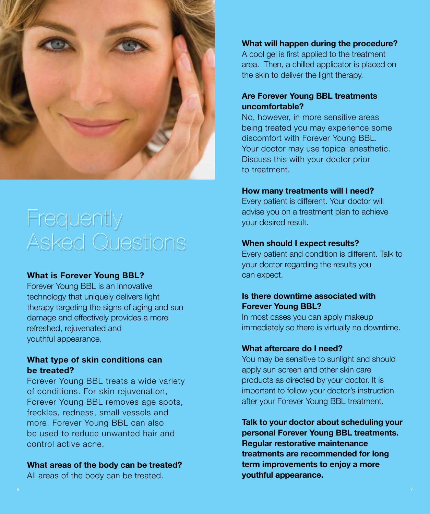

### **Frequently** Asked Questions

#### **What is Forever Young BBL?**

Forever Young BBL is an innovative technology that uniquely delivers light therapy targeting the signs of aging and sun damage and effectively provides a more refreshed, rejuvenated and youthful appearance.

#### **What type of skin conditions can be treated?**

Forever Young BBL treats a wide variety of conditions. For skin rejuvenation, Forever Young BBL removes age spots, freckles, redness, small vessels and more. Forever Young BBL can also be used to reduce unwanted hair and control active acne.

#### **What areas of the body can be treated?**

All areas of the body can be treated.

#### **What will happen during the procedure?**

A cool gel is first applied to the treatment area. Then, a chilled applicator is placed on the skin to deliver the light therapy.

#### **Are Forever Young BBL treatments uncomfortable?**

No, however, in more sensitive areas being treated you may experience some discomfort with Forever Young BBL. Your doctor may use topical anesthetic. Discuss this with your doctor prior to treatment.

#### **How many treatments will I need?**

Every patient is different. Your doctor will advise you on a treatment plan to achieve your desired result.

#### **When should I expect results?**

Every patient and condition is different. Talk to your doctor regarding the results you can expect.

#### **Is there downtime associated with Forever Young BBL?**

In most cases you can apply makeup immediately so there is virtually no downtime.

#### **What aftercare do I need?**

You may be sensitive to sunlight and should apply sun screen and other skin care products as directed by your doctor. It is important to follow your doctor's instruction after your Forever Young BBL treatment.

**Talk to your doctor about scheduling your personal Forever Young BBL treatments. Regular restorative maintenance treatments are recommended for long term improvements to enjoy a more youthful appearance.**